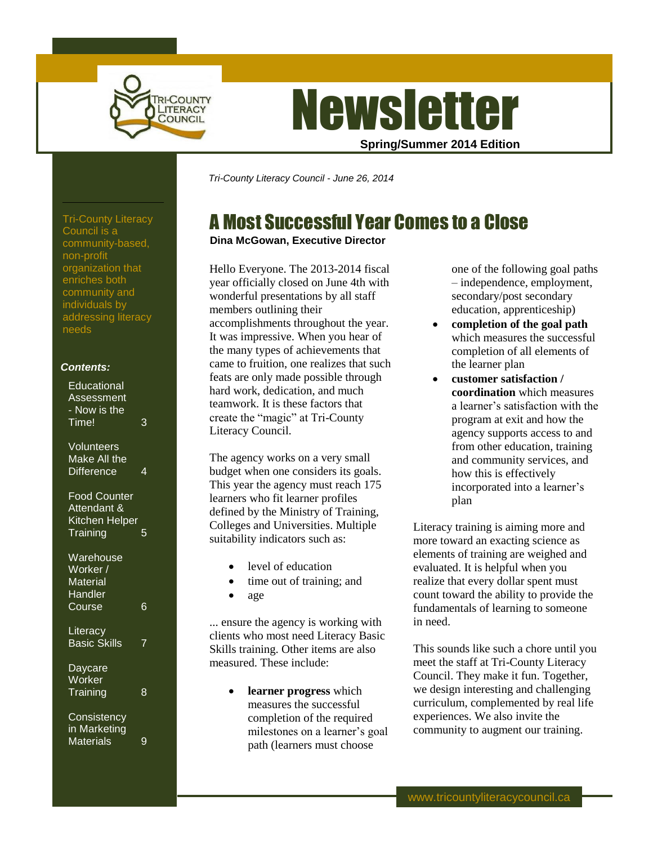

# **Newsletter**

**Spring/Summer 2014 Edition**

*Tri-County Literacy Council - June 26, 2014*

# A Most Successful Year Comes to a Close

### **Dina McGowan, Executive Director**

Hello Everyone. The 2013-2014 fiscal year officially closed on June 4th with wonderful presentations by all staff members outlining their accomplishments throughout the year. It was impressive. When you hear of the many types of achievements that came to fruition, one realizes that such feats are only made possible through hard work, dedication, and much teamwork. It is these factors that create the "magic" at Tri-County Literacy Council.

The agency works on a very small budget when one considers its goals. This year the agency must reach 175 learners who fit learner profiles defined by the Ministry of Training, Colleges and Universities. Multiple suitability indicators such as:

- level of education
- time out of training; and
- age

... ensure the agency is working with clients who most need Literacy Basic Skills training. Other items are also measured. These include:

> **learner progress** which measures the successful completion of the required milestones on a learner's goal path (learners must choose

one of the following goal paths – independence, employment, secondary/post secondary education, apprenticeship)

- **completion of the goal path** which measures the successful completion of all elements of the learner plan
- **customer satisfaction / coordination** which measures a learner's satisfaction with the program at exit and how the agency supports access to and from other education, training and community services, and how this is effectively incorporated into a learner's plan

Literacy training is aiming more and more toward an exacting science as elements of training are weighed and evaluated. It is helpful when you realize that every dollar spent must count toward the ability to provide the fundamentals of learning to someone in need.

This sounds like such a chore until you meet the staff at Tri-County Literacy Council. They make it fun. Together, we design interesting and challenging curriculum, complemented by real life experiences. We also invite the community to augment our training.

Tri-County Literacy Council is a community-based, non-profit organization that enriches both community and individuals by addressing literacy needs

### *Contents:*

| Educational<br>Assessment<br>- Now is the<br>Time!               | 3 |
|------------------------------------------------------------------|---|
| Volunteers<br>Make All the<br><b>Difference</b>                  | 4 |
| <b>Food Counter</b><br>Attendant &<br>Kitchen Helper<br>Training |   |
| Warehouse<br>Worker /<br><b>Material</b><br>Handler<br>Course    | 6 |
| Literacy<br><b>Basic Skills</b>                                  | 7 |
| Daycare<br>Worker<br>Training                                    | 8 |
| Consistency<br>in Marketing<br><b>Materials</b>                  | 9 |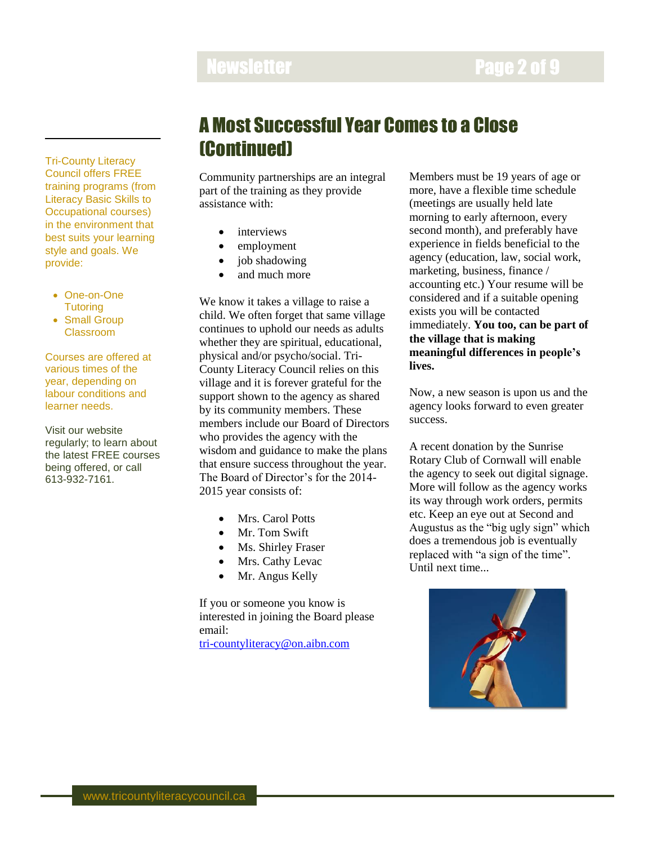# Newsletter **Newsletter Page 2 of 9**

Tri-County Literacy Council offers FREE training programs (from Literacy Basic Skills to Occupational courses) in the environment that best suits your learning style and goals. We provide:

- One-on-One **Tutoring**
- Small Group Classroom

Courses are offered at various times of the year, depending on labour conditions and learner needs.

Visit our website regularly; to learn about the latest FREE courses being offered, or call 613-932-7161.

# A Most Successful Year Comes to a Close (Continued)

Community partnerships are an integral part of the training as they provide assistance with:

- interviews
- employment
- job shadowing
- and much more

We know it takes a village to raise a child. We often forget that same village continues to uphold our needs as adults whether they are spiritual, educational, physical and/or psycho/social. Tri-County Literacy Council relies on this village and it is forever grateful for the support shown to the agency as shared by its community members. These members include our Board of Directors who provides the agency with the wisdom and guidance to make the plans that ensure success throughout the year. The Board of Director's for the 2014- 2015 year consists of:

- Mrs. Carol Potts
- Mr. Tom Swift
- Ms. Shirley Fraser
- Mrs. Cathy Levac
- Mr. Angus Kelly

If you or someone you know is interested in joining the Board please email:

<tri-countyliteracy@on.aibn.com>

Members must be 19 years of age or more, have a flexible time schedule (meetings are usually held late morning to early afternoon, every second month), and preferably have experience in fields beneficial to the agency (education, law, social work, marketing, business, finance / accounting etc.) Your resume will be considered and if a suitable opening exists you will be contacted immediately. **You too, can be part of the village that is making meaningful differences in people's lives.**

Now, a new season is upon us and the agency looks forward to even greater success.

A recent donation by the Sunrise Rotary Club of Cornwall will enable the agency to seek out digital signage. More will follow as the agency works its way through work orders, permits etc. Keep an eye out at Second and Augustus as the "big ugly sign" which does a tremendous job is eventually replaced with "a sign of the time". Until next time...

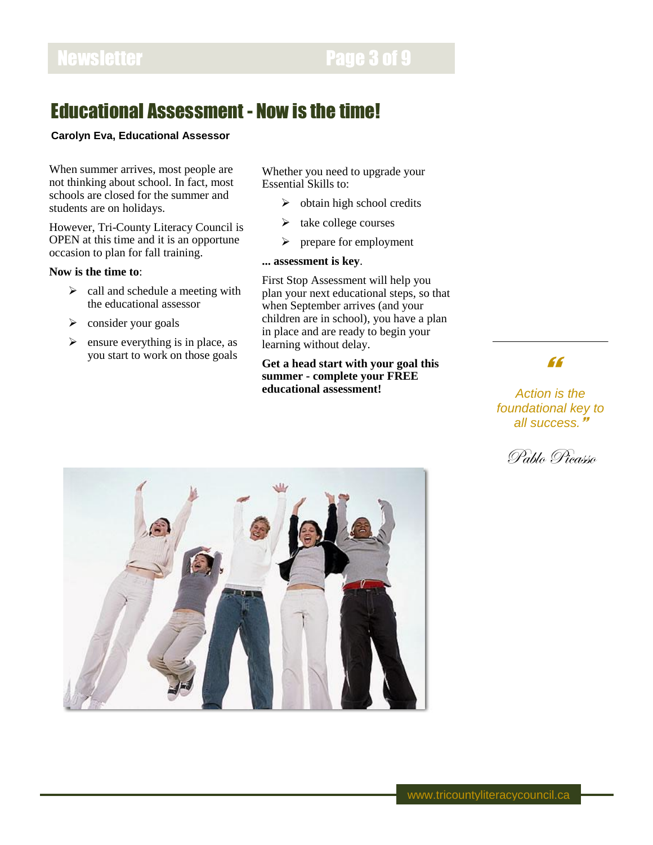# Newsletter **Page 3 of 9**

### Educational Assessment - Now is the time!

### **Carolyn Eva, Educational Assessor**

When summer arrives, most people are not thinking about school. In fact, most schools are closed for the summer and students are on holidays.

However, Tri-County Literacy Council is OPEN at this time and it is an opportune occasion to plan for fall training.

### **Now is the time to**:

- $\triangleright$  call and schedule a meeting with the educational assessor
- $\triangleright$  consider your goals
- $\triangleright$  ensure everything is in place, as you start to work on those goals

Whether you need to upgrade your Essential Skills to:

- $\triangleright$  obtain high school credits
- $\triangleright$  take college courses
- $\triangleright$  prepare for employment

### **... assessment is key**.

First Stop Assessment will help you plan your next educational steps, so that when September arrives (and your children are in school), you have a plan in place and are ready to begin your learning without delay.

### **Get a head start with your goal this summer - complete your FREE educational assessment!**

### "

*Action is the foundational key to all success.*



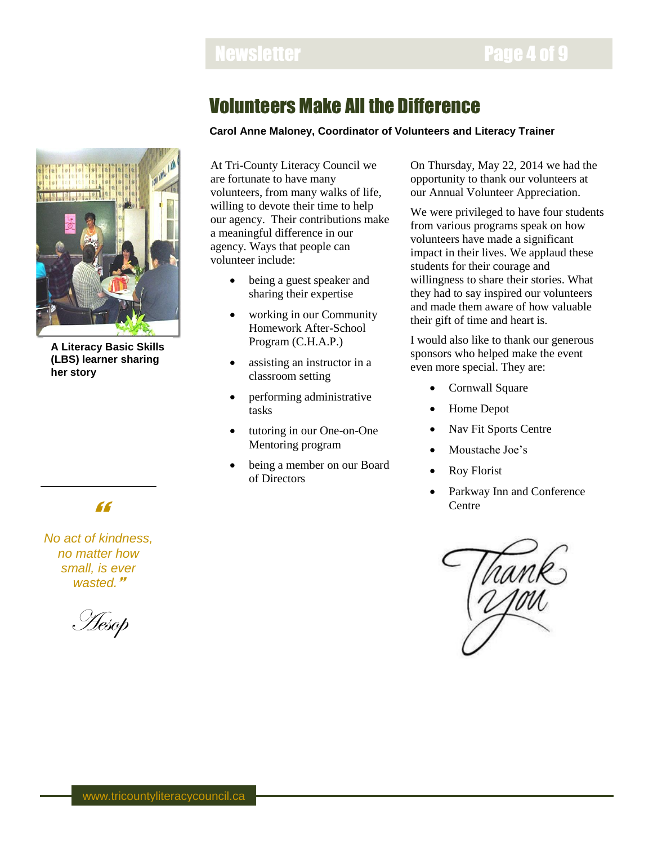### Newsletter **Newsletter Page 4 of 9**

# Volunteers Make All the Difference

### **Carol Anne Maloney, Coordinator of Volunteers and Literacy Trainer**



**A Literacy Basic Skills (LBS) learner sharing her story**

At Tri-County Literacy Council we are fortunate to have many volunteers, from many walks of life, willing to devote their time to help our agency. Their contributions make a meaningful difference in our agency. Ways that people can volunteer include:

- being a guest speaker and sharing their expertise
- working in our Community Homework After-School Program (C.H.A.P.)
- assisting an instructor in a classroom setting
- performing administrative tasks
- tutoring in our One-on-One Mentoring program
- being a member on our Board of Directors

On Thursday, May 22, 2014 we had the opportunity to thank our volunteers at our Annual Volunteer Appreciation.

We were privileged to have four students from various programs speak on how volunteers have made a significant impact in their lives. We applaud these students for their courage and willingness to share their stories. What they had to say inspired our volunteers and made them aware of how valuable their gift of time and heart is.

I would also like to thank our generous sponsors who helped make the event even more special. They are:

- Cornwall Square
- Home Depot
- Nav Fit Sports Centre
- Moustache Joe's
- Roy Florist
- Parkway Inn and Conference Centre



# "

*No act of kindness, no matter how small, is ever wasted.*

Aesop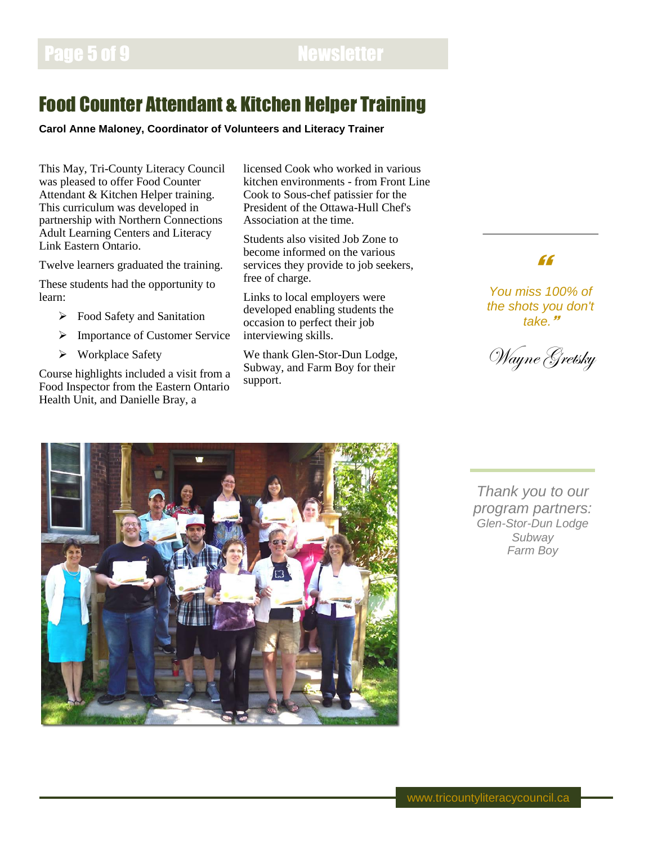# Food Counter Attendant & Kitchen Helper Training

**Carol Anne Maloney, Coordinator of Volunteers and Literacy Trainer**

This May, Tri-County Literacy Council was pleased to offer Food Counter Attendant & Kitchen Helper training. This curriculum was developed in partnership with Northern Connections Adult Learning Centers and Literacy Link Eastern Ontario.

Twelve learners graduated the training.

These students had the opportunity to learn:

- **Food Safety and Sanitation**
- > Importance of Customer Service
- Workplace Safety

Course highlights included a visit from a Food Inspector from the Eastern Ontario Health Unit, and Danielle Bray, a

licensed Cook who worked in various kitchen environments - from Front Line Cook to Sous-chef patissier for the President of the Ottawa-Hull Chef's Association at the time.

Students also visited Job Zone to become informed on the various services they provide to job seekers, free of charge.

Links to local employers were developed enabling students the occasion to perfect their job interviewing skills.

We thank Glen-Stor-Dun Lodge, Subway, and Farm Boy for their support.



*You miss 100% of the shots you don't take.*

Wayne Gretsky



*Thank you to our program partners: Glen-Stor-Dun Lodge Subway Farm Boy*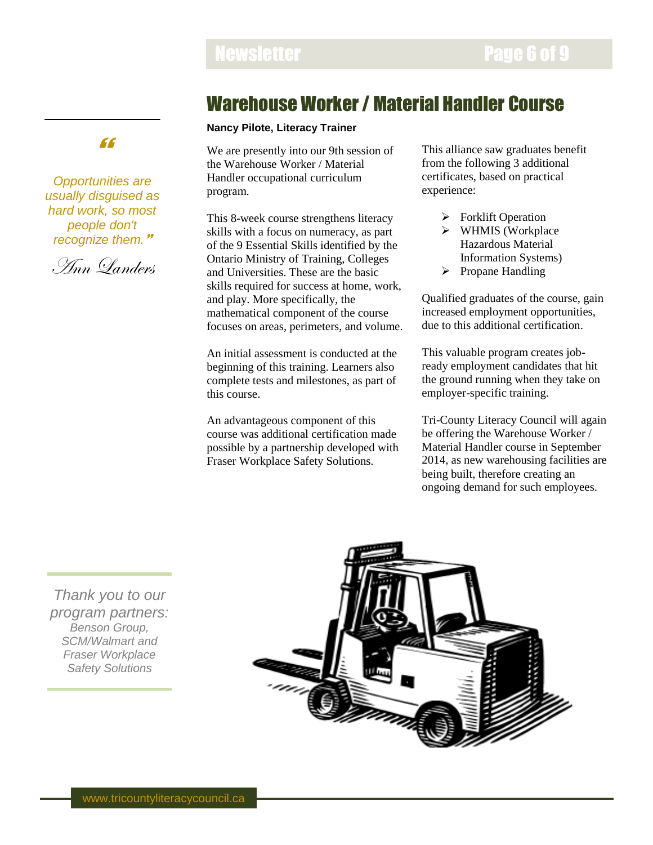### Newsletter **Newsletter Page 6 of 9**

## Warehouse Worker / Material Handler Course

### **Nancy Pilote, Literacy Trainer**

We are presently into our 9th session of the Warehouse Worker / Material Handler occupational curriculum program.

This 8-week course strengthens literacy skills with a focus on numeracy, as part of the 9 Essential Skills identified by the Ontario Ministry of Training, Colleges and Universities. These are the basic skills required for success at home, work, and play. More specifically, the mathematical component of the course focuses on areas, perimeters, and volume.

An initial assessment is conducted at the beginning of this training. Learners also complete tests and milestones, as part of this course.

An advantageous component of this course was additional certification made possible by a partnership developed with Fraser Workplace Safety Solutions.

This alliance saw graduates benefit from the following 3 additional certificates, based on practical experience:

- $\triangleright$  Forklift Operation
- $\triangleright$  WHMIS (Workplace Hazardous Material Information Systems)
- $\triangleright$  Propane Handling

Qualified graduates of the course, gain increased employment opportunities, due to this additional certification.

This valuable program creates jobready employment candidates that hit the ground running when they take on employer-specific training.

Tri-County Literacy Council will again be offering the Warehouse Worker / Material Handler course in September 2014, as new warehousing facilities are being built, therefore creating an ongoing demand for such employees.

*Thank you to our program partners: Benson Group, SCM/Walmart and Fraser Workplace Safety Solutions*



### "

*Opportunities are usually disguised as hard work, so most people don't recognize them.*

Ann Landers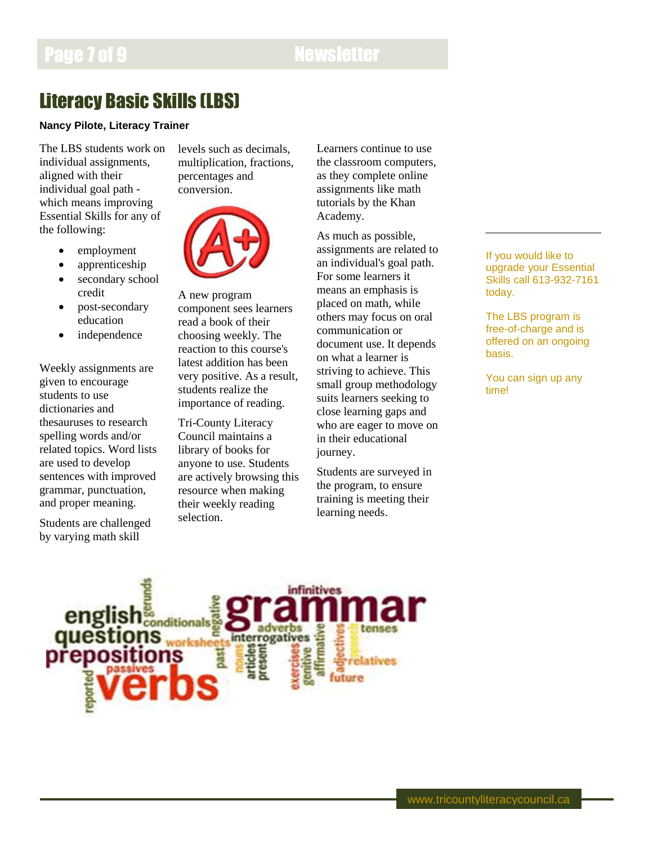# Page 7 of 9 Newsletter

# Literacy Basic Skills (LBS)

### **Nancy Pilote, Literacy Trainer**

The LBS students work on individual assignments, aligned with their individual goal path which means improving Essential Skills for any of the following:

- employment
- apprenticeship
- secondary school credit
- post-secondary education
- independence

Weekly assignments are given to encourage students to use dictionaries and thesauruses to research spelling words and/or related topics. Word lists are used to develop sentences with improved grammar, punctuation, and proper meaning.

Students are challenged by varying math skill

levels such as decimals, multiplication, fractions, percentages and conversion.



A new program component sees learners read a book of their choosing weekly. The reaction to this course's latest addition has been very positive. As a result, students realize the importance of reading.

Tri-County Literacy Council maintains a library of books for anyone to use. Students are actively browsing this resource when making their weekly reading selection.

Learners continue to use the classroom computers, as they complete online assignments like math tutorials by the Khan Academy.

As much as possible, assignments are related to an individual's goal path. For some learners it means an emphasis is placed on math, while others may focus on oral communication or document use. It depends on what a learner is striving to achieve. This small group methodology suits learners seeking to close learning gaps and who are eager to move on in their educational journey.

Students are surveyed in the program, to ensure training is meeting their learning needs.

If you would like to upgrade your Essential Skills call 613-932-7161 today.

The LBS program is free-of-charge and is offered on an ongoing basis.

You can sign up any time!

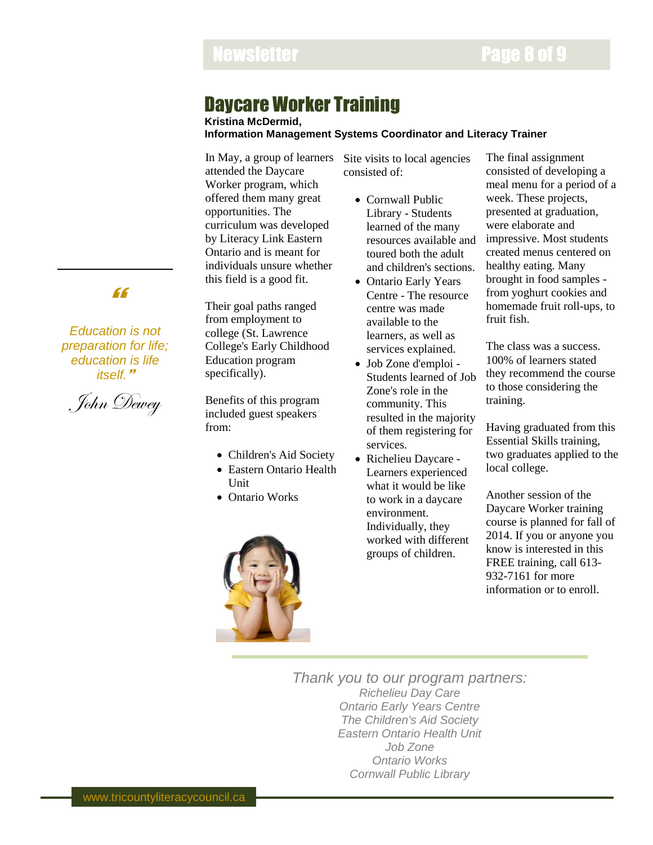# Newsletter **Newsletter Page 8 of 9**

### Daycare Worker Training

**Kristina McDermid, Information Management Systems Coordinator and Literacy Trainer**

In May, a group of learners attended the Daycare Worker program, which offered them many great opportunities. The curriculum was developed by Literacy Link Eastern Ontario and is meant for individuals unsure whether this field is a good fit.

Their goal paths ranged from employment to college (St. Lawrence College's Early Childhood Education program specifically).

Benefits of this program included guest speakers from:

- Children's Aid Society
- Eastern Ontario Health Unit
- Ontario Works



Site visits to local agencies consisted of:

- Cornwall Public Library - Students learned of the many resources available and toured both the adult and children's sections.
- Ontario Early Years Centre - The resource centre was made available to the learners, as well as services explained.
- Job Zone d'emploi Students learned of Job Zone's role in the community. This resulted in the majority of them registering for services.
- Richelieu Daycare Learners experienced what it would be like to work in a daycare environment. Individually, they worked with different groups of children.

The final assignment consisted of developing a meal menu for a period of a week. These projects, presented at graduation, were elaborate and impressive. Most students created menus centered on healthy eating. Many brought in food samples from yoghurt cookies and homemade fruit roll-ups, to fruit fish.

The class was a success. 100% of learners stated they recommend the course to those considering the training.

Having graduated from this Essential Skills training, two graduates applied to the local college.

Another session of the Daycare Worker training course is planned for fall of 2014. If you or anyone you know is interested in this FREE training, call 613- 932-7161 for more information or to enroll.

*Thank you to our program partners: Richelieu Day Care Ontario Early Years Centre The Children's Aid Society Eastern Ontario Health Unit Job Zone Ontario Works Cornwall Public Library*

### "

*Education is not preparation for life; education is life itself.*

John Dewey